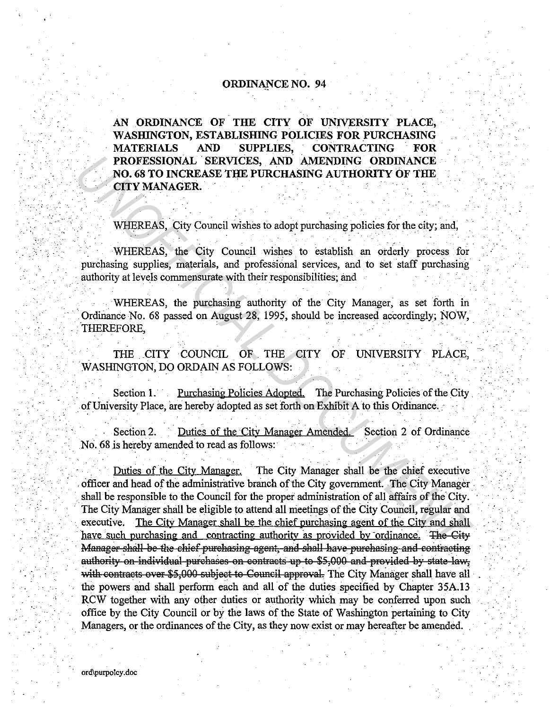## ORDINANCE NO. 94

AN ORDINANCE OF THE CITY OF UNIVERSITY PLACE, WASHINGTON, ESTABLISHING POLICIES FOR PURCHASING MATERIALS AND SUPPLIES, CONTRACTING FOR PROFESSIONAL SERVICES, AND AMENDING ORDINANCE NO. 68 TO INCREASE THE PURCHASING AUTHORITY OF THE **CITY MANAGER.** 

WHEREAS, City Council wishes to adopt purchasing policies for the city; and,

WHEREAS, the City Council wishes to establish an orderly process for . purchasing supplies, materials, and professional services, and to set staff purchasing authority at levels commensurate with their responsibilities; and

WHEREAS, the purchasing authority of the City Manager, as set forth in Ordinance No. 68 passed on August 28, 1995, should be increased accordingly; NOW, THEREFORE.

THE CITY COUNCIL OF THE CITY OF UNIVERSITY PLACE, . WASHINGTON, DO ORDAIN AS FOLLOWS:

Section 1. • Purchasing Policies Adopted. The Purchasing Policies of the City of University Place, are hereby adopted as set forth on Exhibit A to this Ordinance.

Section 2. Duties of the City Manager Amended. Section 2 of Ordinance No. 68 is hereby amended to read as follows:

. Duties of the City Manager. The City Manager shall be the chief executive officer and head of the administrative branch of the City government. The City Manager shall be responsible to the Council for the proper administration of all affairs of the City. The City Manager shall be eligible to attend all meetings of the City Council, regular and executive. The City Manager shall be the chief purchasing agent of the City and shall have such purchasing and contracting authority as provided by ordinance. The City Manager shall be the chief purchasing agent, and shall have purchasing and contracting authority on individual purchases on contracts up to \$5,000 and provided by state law, with contracts over \$5,000 subject to Council approval. The City Manager shall have all the powers and shall perform each and all of the duties specified by Chapter 35A.13 RCW together with any other duties or authority which may be conferred upon such office by the City. Council or by the laws of the State of Washington pertaining to City Managers, or the ordinances of the City, as they now exist or may hereafter be amended. **PROFESSIONAL SERVICES, AND AMENDING ORDINANCE NO. 68 TO INCREASE THE PURCHASING AUTHORITY OF THE CITY MANAGER.**<br> **UTITY MANAGER.**<br>
WHEREAS, the City Council wishes to adopt purchasing policies for the city, and, WHEREAS,

 $\mathcal{F}_{\mathcal{A}}$  , . .

 $\mathcal{L}^{\mathcal{A}}$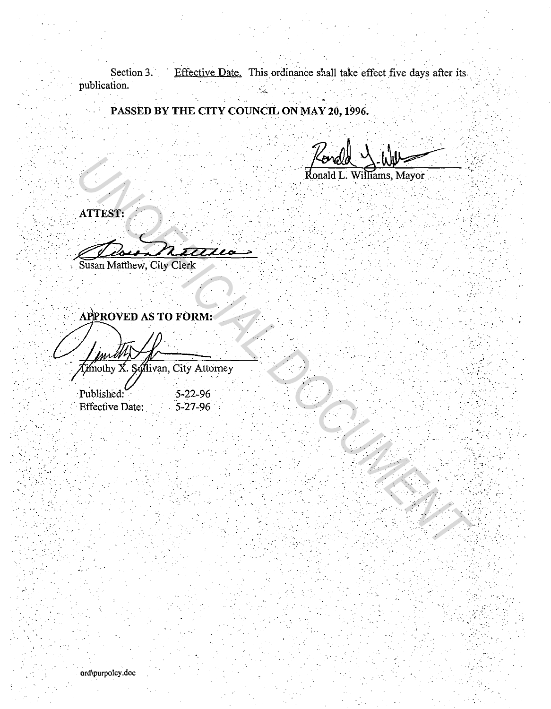Section 3. Effective Date. This ordinance shall take effect five days after its publication.

PASSED BY THE CITY COUNCIL ON MAY 20, 1996.

 $W$ illiams, Mayor

· *... :* ', ·,

 $, \ldots$ 

\_,

 $\ddotsc$ 

 $\sim$   $\sim$ 

 $\cdot$   $\cdot$ 

.  $\sim$ 

. . ' · . . . *:* . ; . ~-- *·:, .* .  $\cdots$ 

 $\mathbb{Z}$ 

,•

 $ATTEST.$ 

.-· . **.** ~J?::n2Z2~Lh - >.

Susan Matthew, City Clerk

FOREST:<br>
MITEST:<br>
NETTEST:<br>
NETTEST:<br>
NETTEST:<br>
NETTEST:<br>
NETTEST:<br>
NETTEST:<br>
NETTEST:<br>
NETTEST:<br>
APPROVED AS TO FORM:<br>
APPROVED AS TO FORM:<br>
FINALLY X, SALIVED, City Attorney<br>
Published:<br>
S-22-96<br>
Effective Date: 5-22-96<br>

Published: 5-22-96<br>Effective Date: 5-27-96 **Effective Date:** 

• ·,L,' • •

\_· ... · -

ord\purpolcy .doc